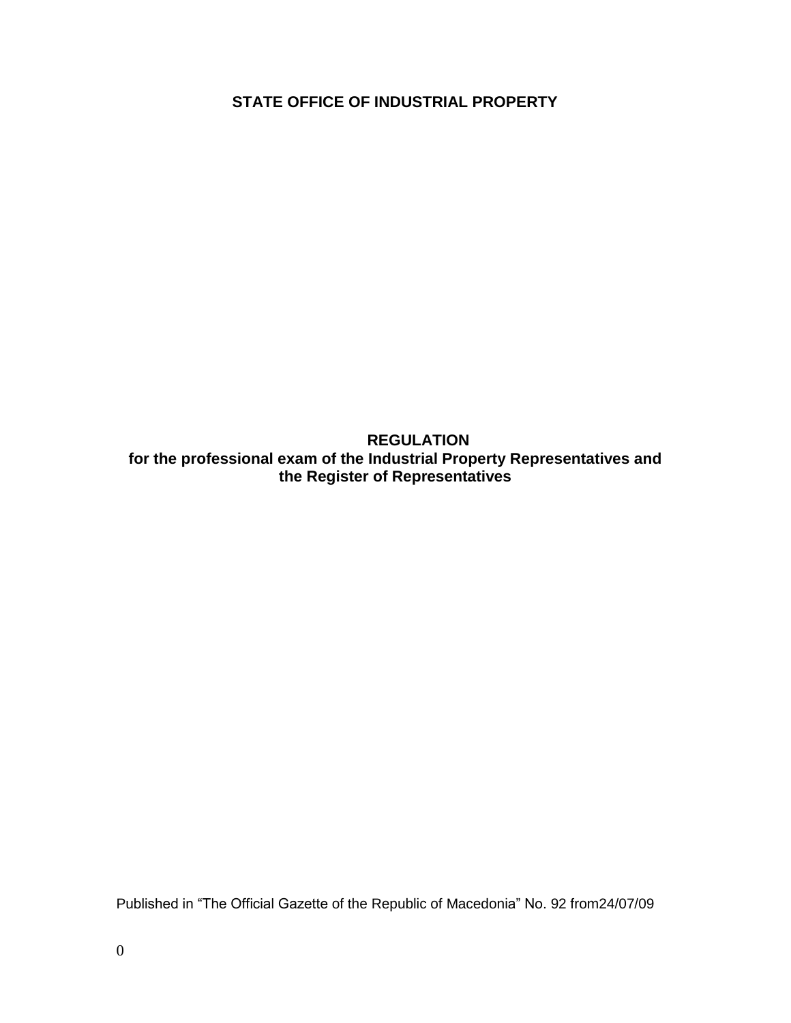**STATE OFFICE OF INDUSTRIAL PROPERTY**

**REGULATION for the professional exam of the Industrial Property Representatives and the Register of Representatives**

Published in "The Official Gazette of the Republic of Macedonia" No. 92 from24/07/09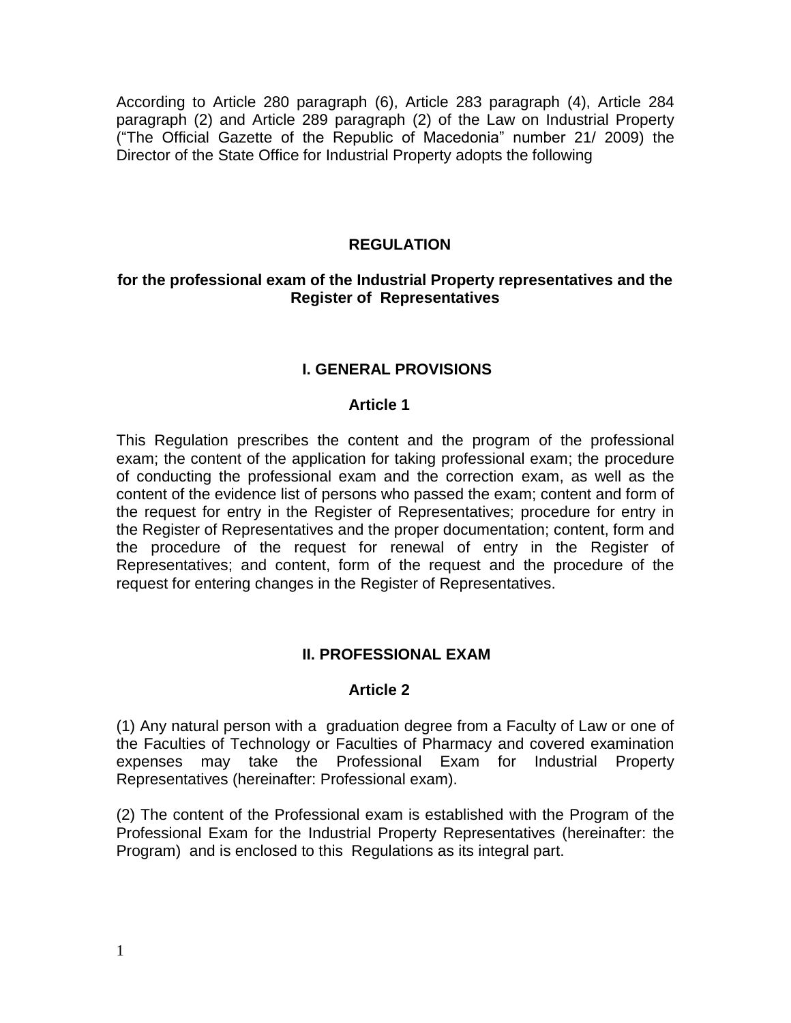According to Article 280 paragraph (6), Article 283 paragraph (4), Article 284 paragraph (2) and Article 289 paragraph (2) of the Law on Industrial Property ("The Official Gazette of the Republic of Macedonia" number 21/ 2009) the Director of the State Office for Industrial Property adopts the following

## **REGULATION**

### **for the professional exam of the Industrial Property representatives and the Register of Representatives**

## **I. GENERAL PROVISIONS**

#### **Article 1**

This Regulation prescribes the content and the program of the professional exam; the content of the application for taking professional exam; the procedure of conducting the professional exam and the correction exam, as well as the content of the evidence list of persons who passed the exam; content and form of the request for entry in the Register of Representatives; procedure for entry in the Register of Representatives and the proper documentation; content, form and the procedure of the request for renewal of entry in the Register of Representatives; and content, form of the request and the procedure of the request for entering changes in the Register of Representatives.

### **II. PROFESSIONAL EXAM**

### **Article 2**

(1) Any natural person with a graduation degree from a Faculty of Law or one of the Faculties of Technology or Faculties of Pharmacy and covered examination expenses may take the Professional Exam for Industrial Property Representatives (hereinafter: Professional exam).

(2) The content of the Professional exam is established with the Program of the Professional Exam for the Industrial Property Representatives (hereinafter: the Program) and is enclosed to this Regulations as its integral part.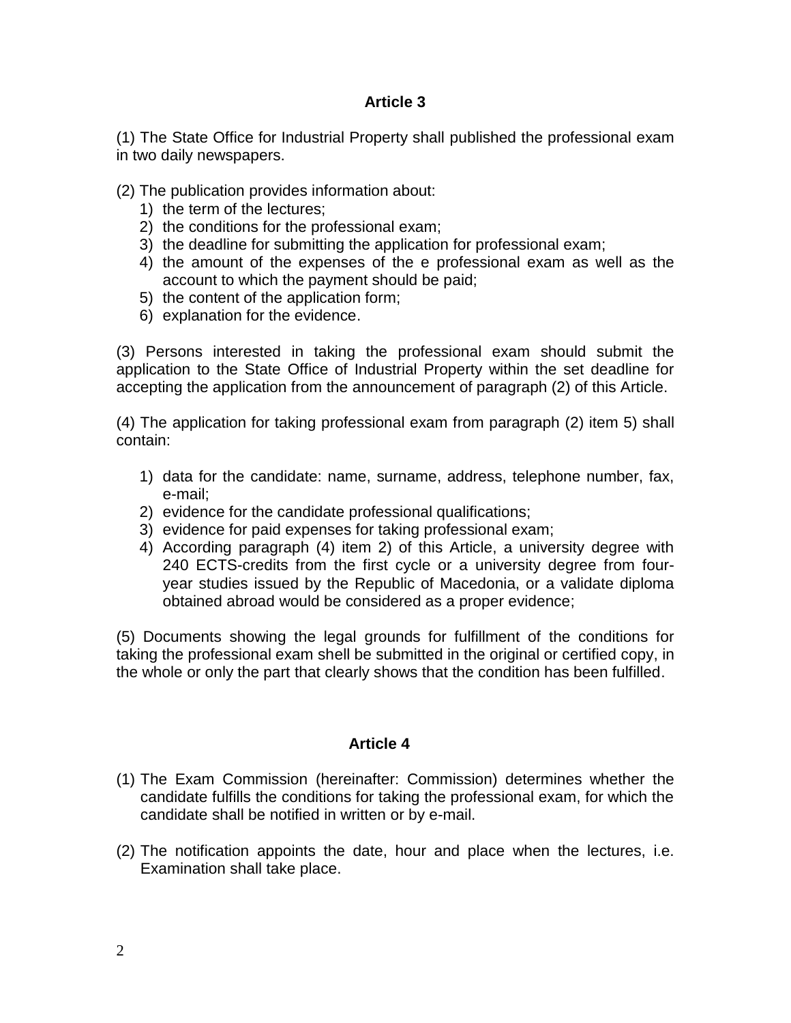(1) The State Office for Industrial Property shall published the professional exam in two daily newspapers.

(2) The publication provides information about:

- 1) the term of the lectures;
- 2) the conditions for the professional exam;
- 3) the deadline for submitting the application for professional exam;
- 4) the amount of the expenses of the e professional exam as well as the account to which the payment should be paid;
- 5) the content of the application form;
- 6) explanation for the evidence.

(3) Persons interested in taking the professional exam should submit the application to the State Office of Industrial Property within the set deadline for accepting the application from the announcement of paragraph (2) of this Article.

(4) The application for taking professional exam from paragraph (2) item 5) shall contain:

- 1) data for the candidate: name, surname, address, telephone number, fax, e-mail;
- 2) evidence for the candidate professional qualifications;
- 3) evidence for paid expenses for taking professional exam;
- 4) According paragraph (4) item 2) of this Article, a university degree with 240 ECTS-credits from the first cycle or a university degree from fouryear studies issued by the Republic of Macedonia, or a validate diploma obtained abroad would be considered as a proper evidence;

(5) Documents showing the legal grounds for fulfillment of the conditions for taking the professional exam shell be submitted in the original or certified copy, in the whole or only the part that clearly shows that the condition has been fulfilled.

### **Article 4**

- (1) The Exam Commission (hereinafter: Commission) determines whether the candidate fulfills the conditions for taking the professional exam, for which the candidate shall be notified in written or by e-mail.
- (2) The notification appoints the date, hour and place when the lectures, i.e. Examination shall take place.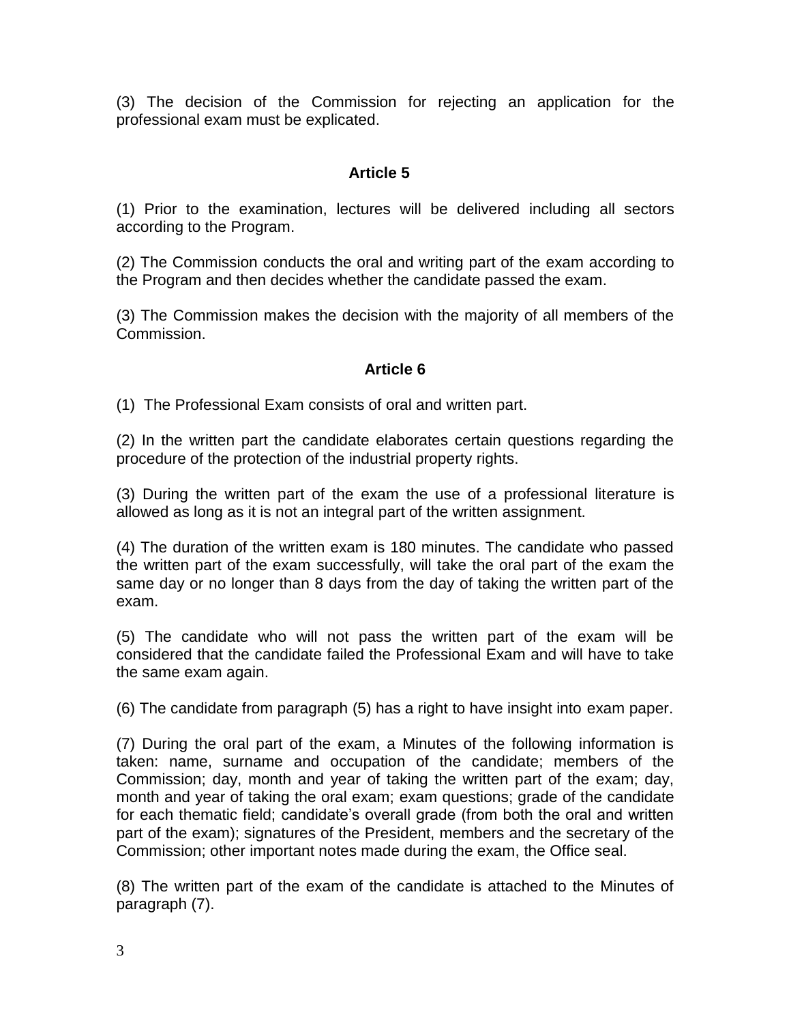(3) The decision of the Commission for rejecting an application for the professional exam must be explicated.

## **Article 5**

(1) Prior to the examination, lectures will be delivered including all sectors according to the Program.

(2) The Commission conducts the oral and writing part of the exam according to the Program and then decides whether the candidate passed the exam.

(3) The Commission makes the decision with the majority of all members of the Commission.

## **Article 6**

(1) The Professional Exam consists of oral and written part.

(2) In the written part the candidate elaborates certain questions regarding the procedure of the protection of the industrial property rights.

(3) During the written part of the exam the use of a professional literature is allowed as long as it is not an integral part of the written assignment.

(4) The duration of the written exam is 180 minutes. The candidate who passed the written part of the exam successfully, will take the oral part of the exam the same day or no longer than 8 days from the day of taking the written part of the exam.

(5) The candidate who will not pass the written part of the exam will be considered that the candidate failed the Professional Exam and will have to take the same exam again.

(6) The candidate from paragraph (5) has a right to have insight into exam paper.

(7) During the oral part of the exam, a Minutes of the following information is taken: name, surname and occupation of the candidate; members of the Commission; day, month and year of taking the written part of the exam; day, month and year of taking the oral exam; exam questions; grade of the candidate for each thematic field; candidate's overall grade (from both the oral and written part of the exam); signatures of the President, members and the secretary of the Commission; other important notes made during the exam, the Office seal.

(8) The written part of the exam of the candidate is attached to the Minutes of paragraph (7).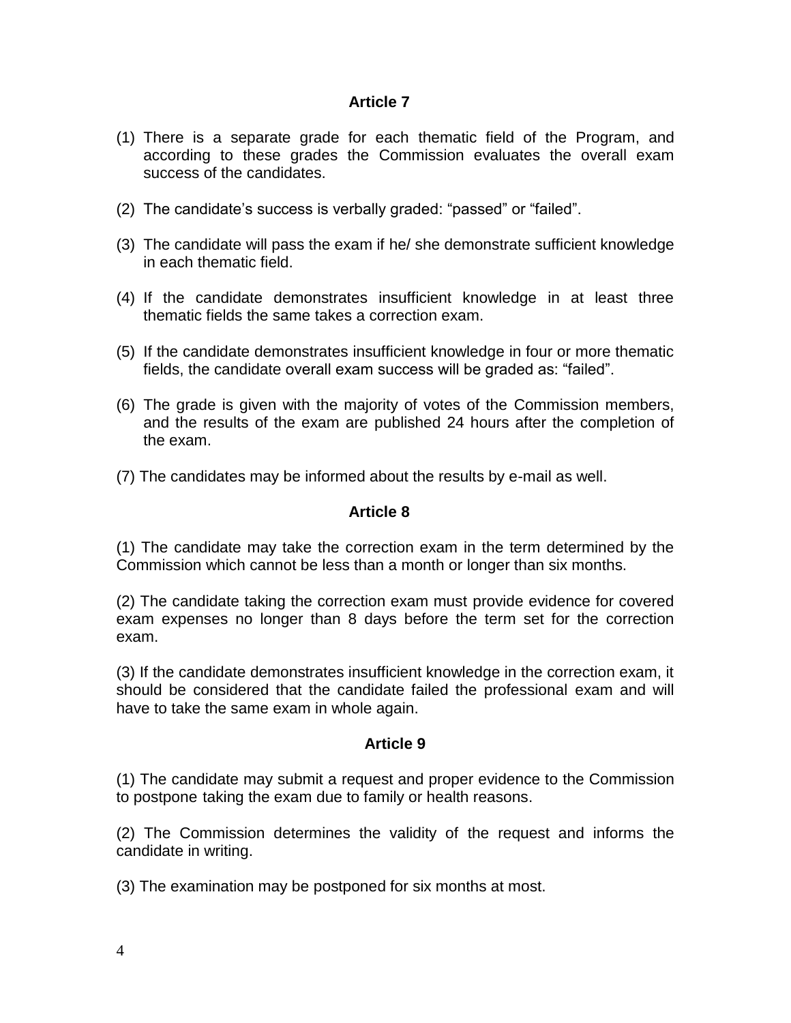- (1) There is a separate grade for each thematic field of the Program, and according to these grades the Commission evaluates the overall exam success of the candidates.
- (2) The candidate's success is verbally graded: "passed" or "failed".
- (3) The candidate will pass the exam if he/ she demonstrate sufficient knowledge in each thematic field.
- (4) If the candidate demonstrates insufficient knowledge in at least three thematic fields the same takes a correction exam.
- (5) If the candidate demonstrates insufficient knowledge in four or more thematic fields, the candidate overall exam success will be graded as: "failed".
- (6) The grade is given with the majority of votes of the Commission members, and the results of the exam are published 24 hours after the completion of the exam.
- (7) The candidates may be informed about the results by e-mail as well.

### **Article 8**

(1) The candidate may take the correction exam in the term determined by the Commission which cannot be less than a month or longer than six months.

(2) The candidate taking the correction exam must provide evidence for covered exam expenses no longer than 8 days before the term set for the correction exam.

(3) If the candidate demonstrates insufficient knowledge in the correction exam, it should be considered that the candidate failed the professional exam and will have to take the same exam in whole again.

## **Article 9**

(1) The candidate may submit a request and proper evidence to the Commission to postpone taking the exam due to family or health reasons.

(2) The Commission determines the validity of the request and informs the candidate in writing.

(3) The examination may be postponed for six months at most.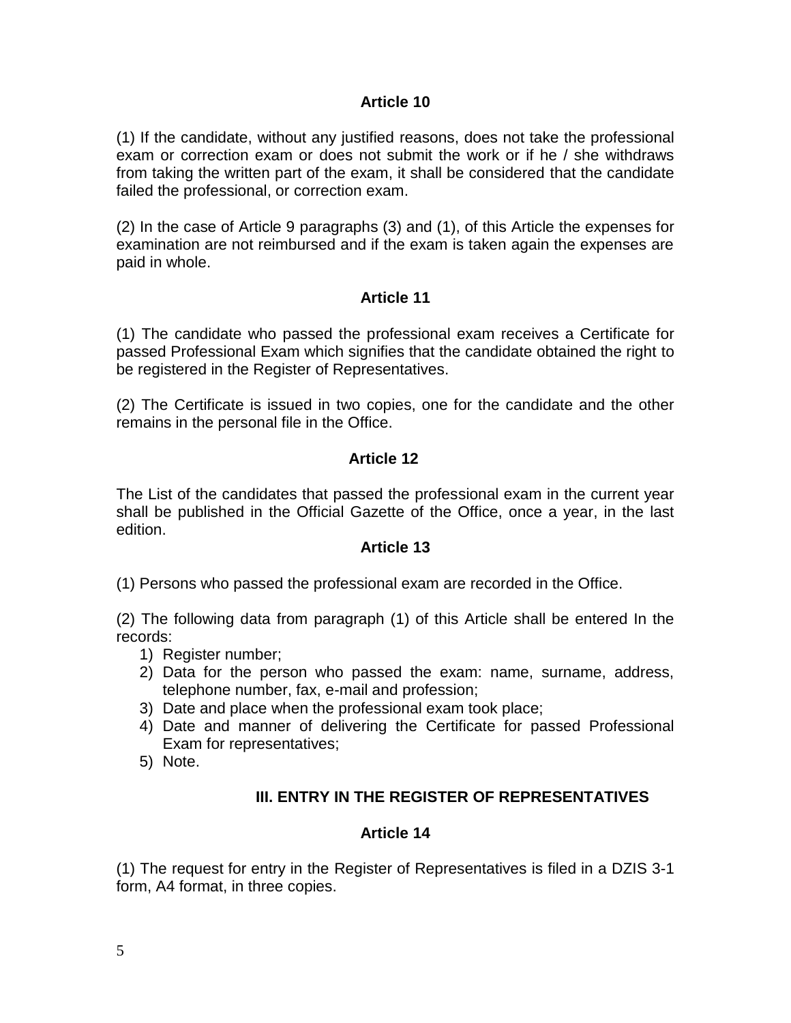(1) If the candidate, without any justified reasons, does not take the professional exam or correction exam or does not submit the work or if he / she withdraws from taking the written part of the exam, it shall be considered that the candidate failed the professional, or correction exam.

(2) In the case of Article 9 paragraphs (3) and (1), of this Article the expenses for examination are not reimbursed and if the exam is taken again the expenses are paid in whole.

## **Article 11**

(1) The candidate who passed the professional exam receives a Certificate for passed Professional Exam which signifies that the candidate obtained the right to be registered in the Register of Representatives.

(2) The Certificate is issued in two copies, one for the candidate and the other remains in the personal file in the Office.

## **Article 12**

The List of the candidates that passed the professional exam in the current year shall be published in the Official Gazette of the Office, once a year, in the last edition.

### **Article 13**

(1) Persons who passed the professional exam are recorded in the Office.

(2) The following data from paragraph (1) of this Article shall be entered In the records:

- 1) Register number;
- 2) Data for the person who passed the exam: name, surname, address, telephone number, fax, e-mail and profession;
- 3) Date and place when the professional exam took place;
- 4) Date and manner of delivering the Certificate for passed Professional Exam for representatives;
- 5) Note.

## **III. ENTRY IN THE REGISTER OF REPRESENTATIVES**

### **Article 14**

(1) The request for entry in the Register of Representatives is filed in a DZIS 3-1 form, A4 format, in three copies.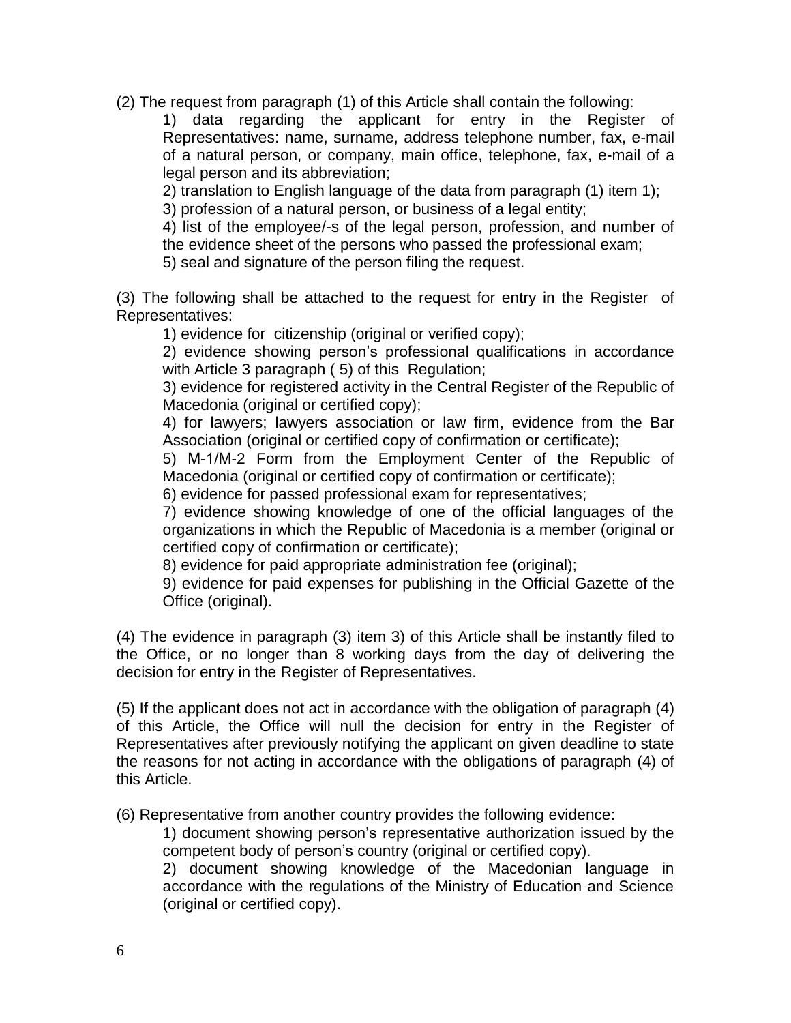(2) The request from paragraph (1) of this Article shall contain the following:

1) data regarding the applicant for entry in the Register of Representatives: name, surname, address telephone number, fax, e-mail of a natural person, or company, main office, telephone, fax, e-mail of a legal person and its abbreviation;

2) translation to English language of the data from paragraph (1) item 1); 3) profession of a natural person, or business of a legal entity;

4) list of the employee/-s of the legal person, profession, and number of the evidence sheet of the persons who passed the professional exam;

5) seal and signature of the person filing the request.

(3) The following shall be attached to the request for entry in the Register of Representatives:

1) evidence for citizenship (original or verified copy);

2) evidence showing person's professional qualifications in accordance with Article 3 paragraph ( 5) of this Regulation;

3) evidence for registered activity in the Central Register of the Republic of Macedonia (original or certified copy);

4) for lawyers; lawyers association or law firm, evidence from the Bar Association (original or certified copy of confirmation or certificate);

5) М-1/М-2 Form from the Employment Center of the Republic of Macedonia (original or certified copy of confirmation or certificate);

6) evidence for passed professional exam for representatives;

7) evidence showing knowledge of one of the official languages of the organizations in which the Republic of Macedonia is a member (original or certified copy of confirmation or certificate);

8) evidence for paid appropriate administration fee (original);

9) evidence for paid expenses for publishing in the Official Gazette of the Office (original).

(4) The evidence in paragraph (3) item 3) of this Article shall be instantly filed to the Office, or no longer than 8 working days from the day of delivering the decision for entry in the Register of Representatives.

(5) If the applicant does not act in accordance with the obligation of paragraph (4) of this Article, the Office will null the decision for entry in the Register of Representatives after previously notifying the applicant on given deadline to state the reasons for not acting in accordance with the obligations of paragraph (4) of this Article.

(6) Representative from another country provides the following evidence:

1) document showing person's representative authorization issued by the competent body of person's country (original or certified copy).

2) document showing knowledge of the Macedonian language in accordance with the regulations of the Ministry of Education and Science (original or certified copy).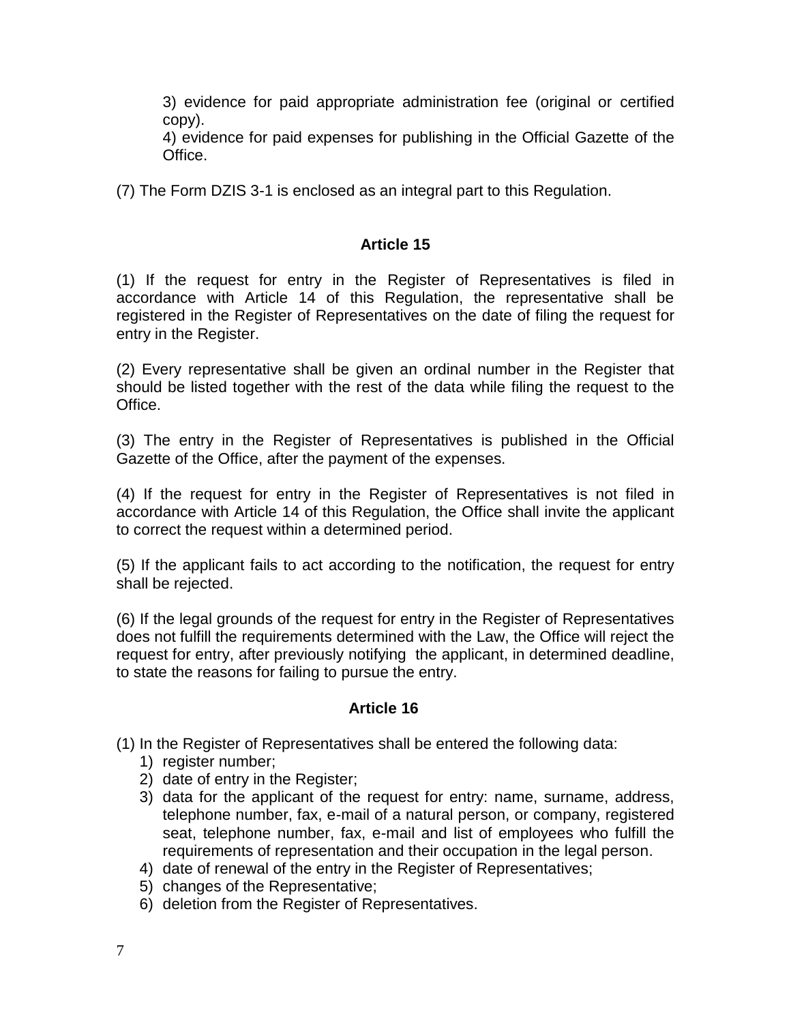3) evidence for paid appropriate administration fee (original or certified copy).

4) evidence for paid expenses for publishing in the Official Gazette of the Office.

(7) The Form DZIS 3-1 is enclosed as an integral part to this Regulation.

## **Article 15**

(1) If the request for entry in the Register of Representatives is filed in accordance with Article 14 of this Regulation, the representative shall be registered in the Register of Representatives on the date of filing the request for entry in the Register.

(2) Every representative shall be given an ordinal number in the Register that should be listed together with the rest of the data while filing the request to the Office.

(3) The entry in the Register of Representatives is published in the Official Gazette of the Office, after the payment of the expenses.

(4) If the request for entry in the Register of Representatives is not filed in accordance with Article 14 of this Regulation, the Office shall invite the applicant to correct the request within a determined period.

(5) If the applicant fails to act according to the notification, the request for entry shall be rejected.

(6) If the legal grounds of the request for entry in the Register of Representatives does not fulfill the requirements determined with the Law, the Office will reject the request for entry, after previously notifying the applicant, in determined deadline, to state the reasons for failing to pursue the entry.

### **Article 16**

(1) In the Register of Representatives shall be entered the following data:

- 1) register number;
- 2) date of entry in the Register;
- 3) data for the applicant of the request for entry: name, surname, address, telephone number, fax, e-mail of a natural person, or company, registered seat, telephone number, fax, e-mail and list of employees who fulfill the requirements of representation and their occupation in the legal person.
- 4) date of renewal of the entry in the Register of Representatives;
- 5) changes of the Representative;
- 6) deletion from the Register of Representatives.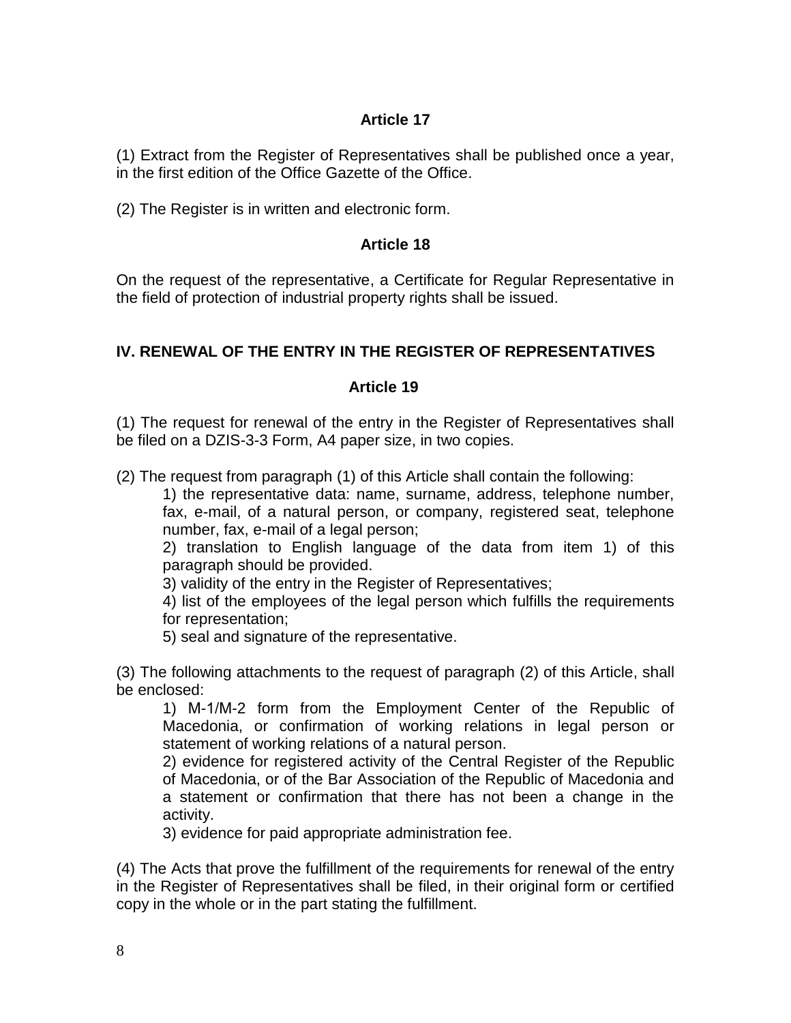(1) Extract from the Register of Representatives shall be published once a year, in the first edition of the Office Gazette of the Office.

(2) The Register is in written and electronic form.

## **Article 18**

On the request of the representative, a Certificate for Regular Representative in the field of protection of industrial property rights shall be issued.

## **IV. RENEWAL OF THE ENTRY IN THE REGISTER OF REPRESENTATIVES**

### **Article 19**

(1) The request for renewal of the entry in the Register of Representatives shall be filed on a DZIS-3-3 Form, A4 paper size, in two copies.

(2) The request from paragraph (1) of this Article shall contain the following:

1) the representative data: name, surname, address, telephone number, fax, e-mail, of a natural person, or company, registered seat, telephone number, fax, e-mail of a legal person;

2) translation to English language of the data from item 1) of this paragraph should be provided.

3) validity of the entry in the Register of Representatives;

4) list of the employees of the legal person which fulfills the requirements for representation;

5) seal and signature of the representative.

(3) The following attachments to the request of paragraph (2) of this Article, shall be enclosed:

1) М-1/М-2 form from the Employment Center of the Republic of Macedonia, or confirmation of working relations in legal person or statement of working relations of a natural person.

2) evidence for registered activity of the Central Register of the Republic of Macedonia, or of the Bar Association of the Republic of Macedonia and a statement or confirmation that there has not been a change in the activity.

3) evidence for paid appropriate administration fee.

(4) The Acts that prove the fulfillment of the requirements for renewal of the entry in the Register of Representatives shall be filed, in their original form or certified copy in the whole or in the part stating the fulfillment.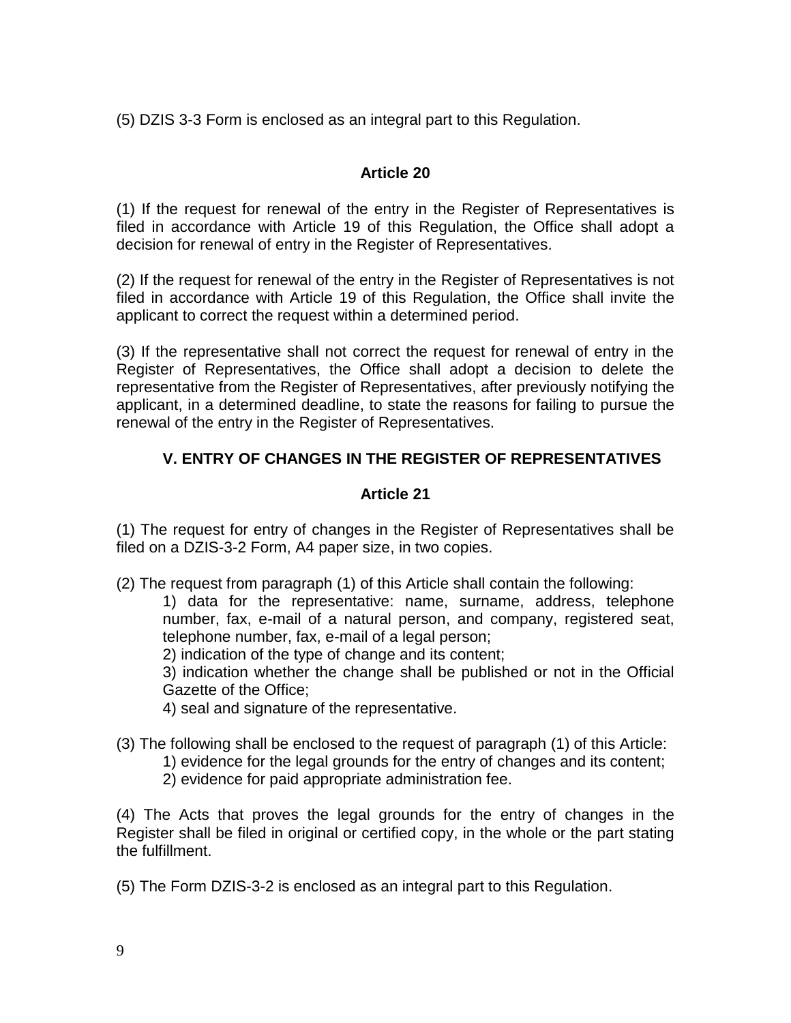(5) DZIS 3-3 Form is enclosed as an integral part to this Regulation.

## **Article 20**

(1) If the request for renewal of the entry in the Register of Representatives is filed in accordance with Article 19 of this Regulation, the Office shall adopt a decision for renewal of entry in the Register of Representatives.

(2) If the request for renewal of the entry in the Register of Representatives is not filed in accordance with Article 19 of this Regulation, the Office shall invite the applicant to correct the request within a determined period.

(3) If the representative shall not correct the request for renewal of entry in the Register of Representatives, the Office shall adopt a decision to delete the representative from the Register of Representatives, after previously notifying the applicant, in a determined deadline, to state the reasons for failing to pursue the renewal of the entry in the Register of Representatives.

## **V. ENTRY OF CHANGES IN THE REGISTER OF REPRESENTATIVES**

## **Article 21**

(1) The request for entry of changes in the Register of Representatives shall be filed on a DZIS-3-2 Form, A4 paper size, in two copies.

(2) The request from paragraph (1) of this Article shall contain the following:

1) data for the representative: name, surname, address, telephone number, fax, e-mail of a natural person, and company, registered seat, telephone number, fax, e-mail of a legal person;

2) indication of the type of change and its content;

3) indication whether the change shall be published or not in the Official Gazette of the Office;

4) seal and signature of the representative.

- (3) The following shall be enclosed to the request of paragraph (1) of this Article:
	- 1) evidence for the legal grounds for the entry of changes and its content;
		- 2) evidence for paid appropriate administration fee.

(4) The Acts that proves the legal grounds for the entry of changes in the Register shall be filed in original or certified copy, in the whole or the part stating the fulfillment.

(5) The Form DZIS-3-2 is enclosed as an integral part to this Regulation.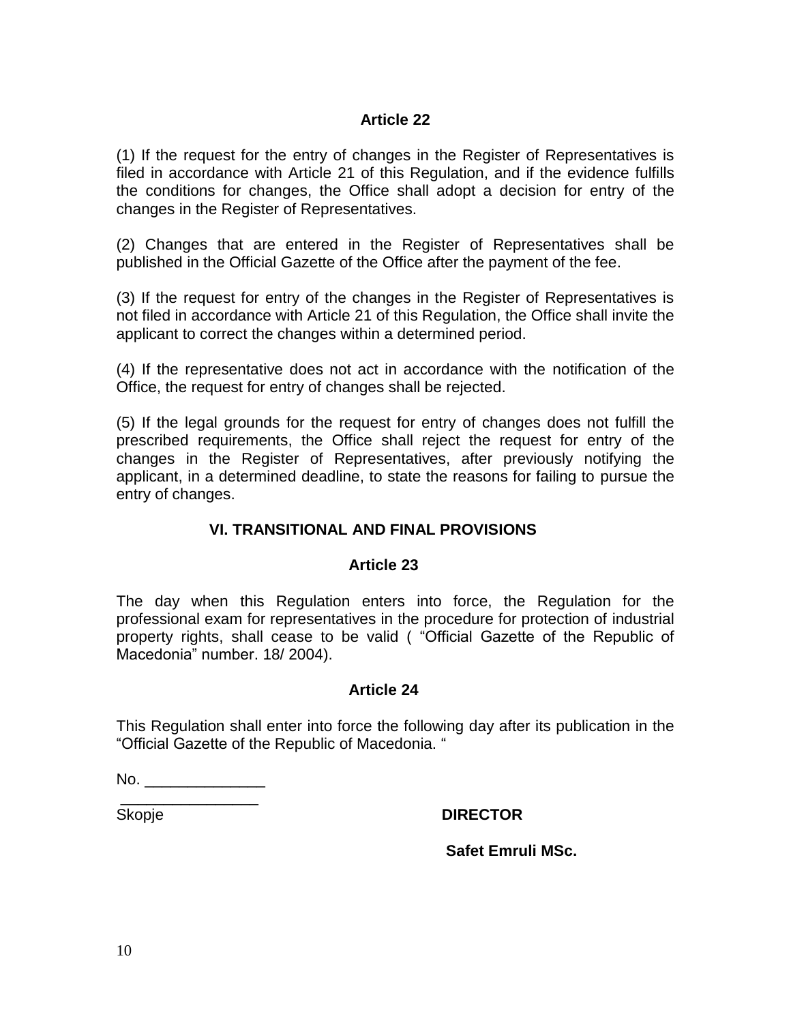(1) If the request for the entry of changes in the Register of Representatives is filed in accordance with Article 21 of this Regulation, and if the evidence fulfills the conditions for changes, the Office shall adopt a decision for entry of the changes in the Register of Representatives.

(2) Changes that are entered in the Register of Representatives shall be published in the Official Gazette of the Office after the payment of the fee.

(3) If the request for entry of the changes in the Register of Representatives is not filed in accordance with Article 21 of this Regulation, the Office shall invite the applicant to correct the changes within a determined period.

(4) If the representative does not act in accordance with the notification of the Office, the request for entry of changes shall be rejected.

(5) If the legal grounds for the request for entry of changes does not fulfill the prescribed requirements, the Office shall reject the request for entry of the changes in the Register of Representatives, after previously notifying the applicant, in a determined deadline, to state the reasons for failing to pursue the entry of changes.

## **VI. TRANSITIONAL AND FINAL PROVISIONS**

### **Article 23**

The day when this Regulation enters into force, the Regulation for the professional exam for representatives in the procedure for protection of industrial property rights, shall cease to be valid ( "Official Gazette of the Republic of Macedonia" number. 18/ 2004).

#### **Article 24**

This Regulation shall enter into force the following day after its publication in the "Official Gazette of the Republic of Macedonia. "

 $No.$ 

\_\_\_\_\_\_\_\_\_\_\_\_\_\_\_\_

## Skopje **DIRECTOR**

**Safet Emruli MSc.**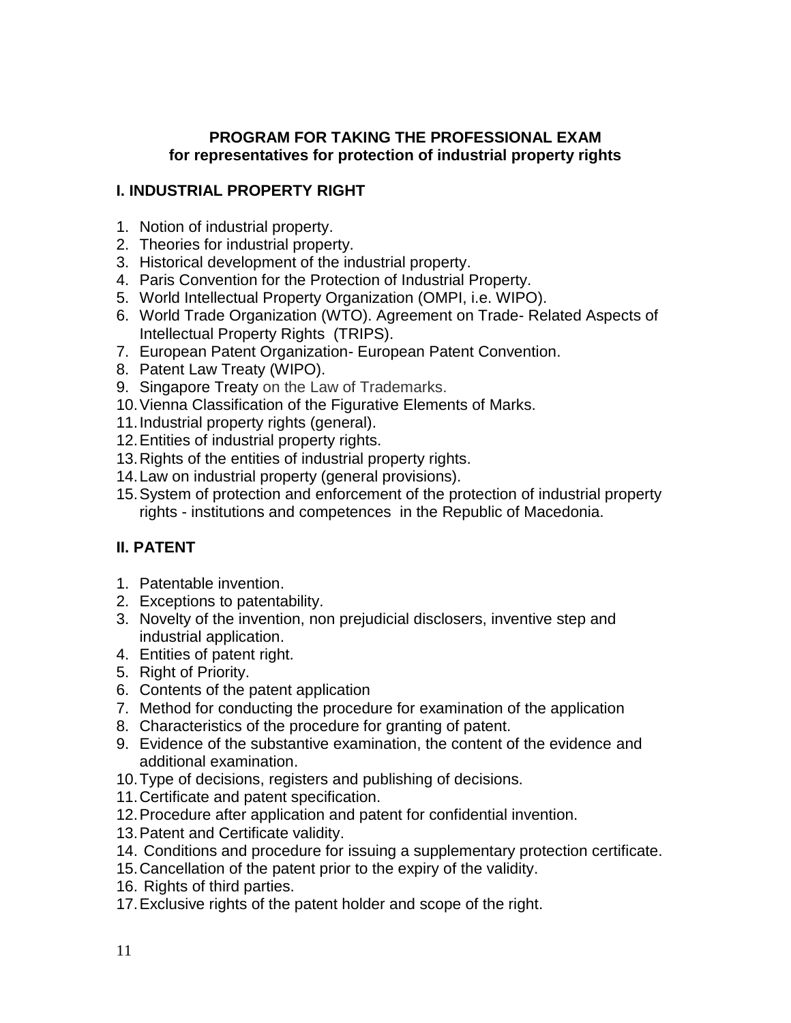### **PROGRAM FOR TAKING THE PROFESSIONAL EXAM for representatives for protection of industrial property rights**

## **I. INDUSTRIAL PROPERTY RIGHT**

- 1. Notion of industrial property.
- 2. Theories for industrial property.
- 3. Historical development of the industrial property.
- 4. Paris Convention for the Protection of Industrial Property.
- 5. World Intellectual Property Organization (OMPI, i.e. WIPO).
- 6. World Trade Organization (WTO). Agreement on Trade- Related Aspects of Intellectual Property Rights (TRIPS).
- 7. European Patent Organization- European Patent Convention.
- 8. Patent Law Treaty (WIPO).
- 9. Singapore Treaty on the Law of Trademarks.
- 10.Vienna Classification of the Figurative Elements of Marks.
- 11.Industrial property rights (general).
- 12.Entities of industrial property rights.
- 13.Rights of the entities of industrial property rights.
- 14.Law on industrial property (general provisions).
- 15.System of protection and enforcement of the protection of industrial property rights - institutions and competences in the Republic of Macedonia.

# **II. PATENT**

- 1. Patentable invention.
- 2. Exceptions to patentability.
- 3. Novelty of the invention, non prejudicial disclosers, inventive step and industrial application.
- 4. Entities of patent right.
- 5. Right of Priority.
- 6. Contents of the patent application
- 7. Method for conducting the procedure for examination of the application
- 8. Characteristics of the procedure for granting of patent.
- 9. Evidence of the substantive examination, the content of the evidence and additional examination.
- 10.Type of decisions, registers and publishing of decisions.
- 11.Certificate and patent specification.
- 12.Procedure after application and patent for confidential invention.
- 13.Patent and Certificate validity.
- 14. Conditions and procedure for issuing a supplementary protection certificate.
- 15.Cancellation of the patent prior to the expiry of the validity.
- 16. Rights of third parties.
- 17.Exclusive rights of the patent holder and scope of the right.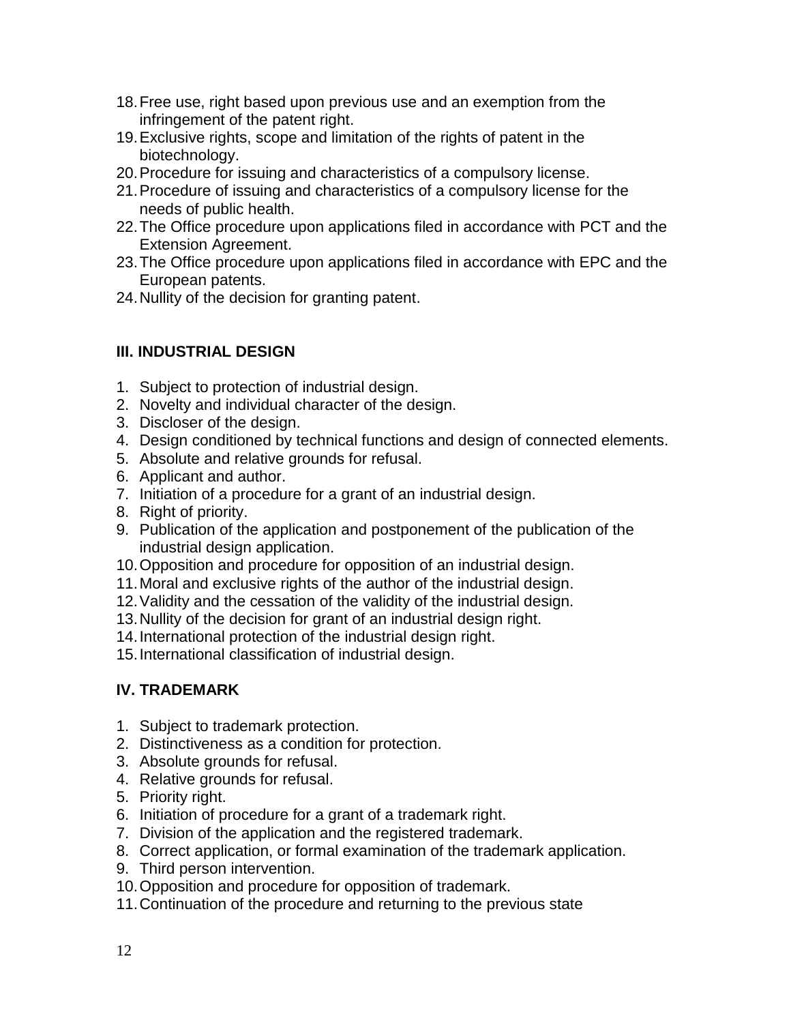- 18.Free use, right based upon previous use and an exemption from the infringement of the patent right.
- 19.Exclusive rights, scope and limitation of the rights of patent in the biotechnology.
- 20.Procedure for issuing and characteristics of a compulsory license.
- 21.Procedure of issuing and characteristics of a compulsory license for the needs of public health.
- 22.The Office procedure upon applications filed in accordance with PCT and the Extension Agreement.
- 23.The Office procedure upon applications filed in accordance with EPC and the European patents.
- 24.Nullity of the decision for granting patent.

## **III. INDUSTRIAL DESIGN**

- 1. Subject to protection of industrial design.
- 2. Novelty and individual character of the design.
- 3. Discloser of the design.
- 4. Design conditioned by technical functions and design of connected elements.
- 5. Absolute and relative grounds for refusal.
- 6. Applicant and author.
- 7. Initiation of a procedure for a grant of an industrial design.
- 8. Right of priority.
- 9. Publication of the application and postponement of the publication of the industrial design application.
- 10.Opposition and procedure for opposition of an industrial design.
- 11.Moral and exclusive rights of the author of the industrial design.
- 12.Validity and the cessation of the validity of the industrial design.
- 13.Nullity of the decision for grant of an industrial design right.
- 14.International protection of the industrial design right.
- 15.International classification of industrial design.

## **IV. TRADEMARK**

- 1. Subject to trademark protection.
- 2. Distinctiveness as a condition for protection.
- 3. Absolute grounds for refusal.
- 4. Relative grounds for refusal.
- 5. Priority right.
- 6. Initiation of procedure for a grant of a trademark right.
- 7. Division of the application and the registered trademark.
- 8. Correct application, or formal examination of the trademark application.
- 9. Third person intervention.
- 10.Opposition and procedure for opposition of trademark.
- 11.Continuation of the procedure and returning to the previous state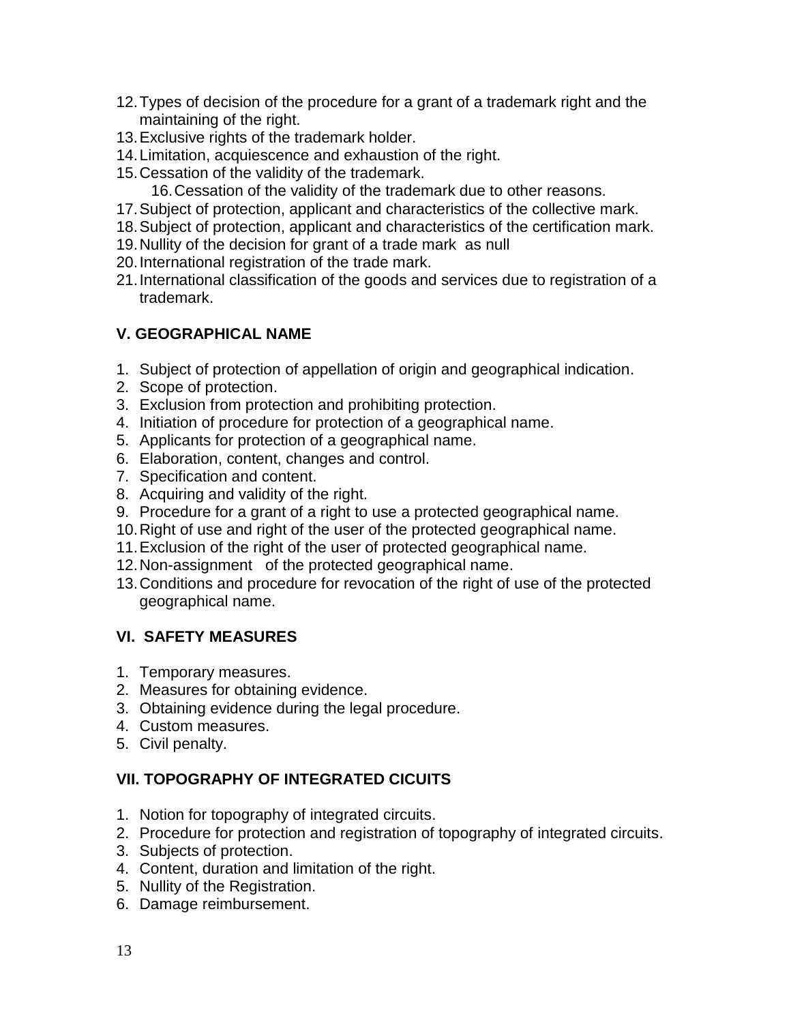- 12.Types of decision of the procedure for a grant of a trademark right and the maintaining of the right.
- 13.Exclusive rights of the trademark holder.
- 14.Limitation, acquiescence and exhaustion of the right.
- 15.Cessation of the validity of the trademark.
	- 16.Cessation of the validity of the trademark due to other reasons.
- 17.Subject of protection, applicant and characteristics of the collective mark.
- 18.Subject of protection, applicant and characteristics of the certification mark.
- 19.Nullity of the decision for grant of a trade mark as null
- 20.International registration of the trade mark.
- 21.International classification of the goods and services due to registration of a trademark.

## **V. GEOGRAPHICAL NAME**

- 1. Subject of protection of appellation of origin and geographical indication.
- 2. Scope of protection.
- 3. Exclusion from protection and prohibiting protection.
- 4. Initiation of procedure for protection of a geographical name.
- 5. Applicants for protection of a geographical name.
- 6. Elaboration, content, changes and control.
- 7. Specification and content.
- 8. Acquiring and validity of the right.
- 9. Procedure for a grant of a right to use a protected geographical name.
- 10.Right of use and right of the user of the protected geographical name.
- 11.Exclusion of the right of the user of protected geographical name.
- 12.Non-assignment of the protected geographical name.
- 13.Conditions and procedure for revocation of the right of use of the protected geographical name.

## **VI. SAFETY MEASURES**

- 1. Temporary measures.
- 2. Measures for obtaining evidence.
- 3. Obtaining evidence during the legal procedure.
- 4. Custom measures.
- 5. Civil penalty.

# **VII. TOPOGRAPHY OF INTEGRATED CICUITS**

- 1. Notion for topography of integrated circuits.
- 2. Procedure for protection and registration of topography of integrated circuits.
- 3. Subjects of protection.
- 4. Content, duration and limitation of the right.
- 5. Nullity of the Registration.
- 6. Damage reimbursement.